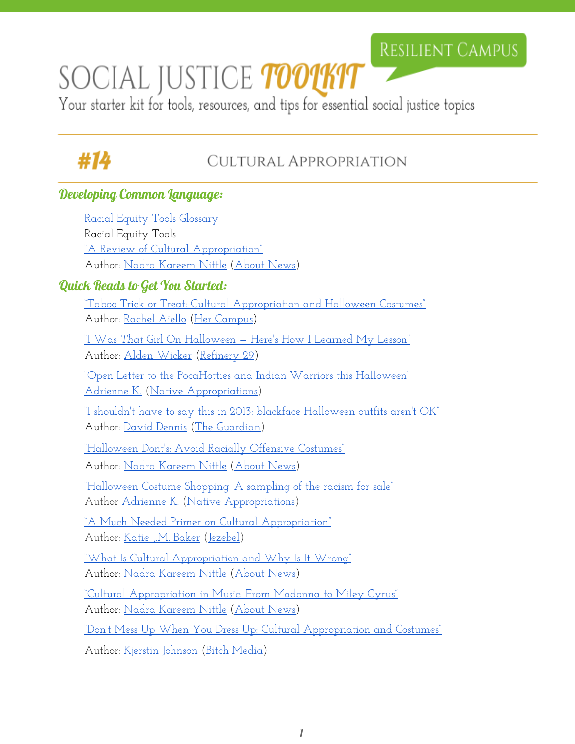## **RESILIENT CAMPUS**

# SOCIAL JUSTICE TOO1KIT

Your starter kit for tools, resources, and tips for essential social justice topics

# #14

### CULTURAL APPROPRIATION

#### Developing Common Language:

[Racial Equity Tools Glossary](http://racialequitytools.org/glossary) Racial Equity Tools ["A Review of Cultural Appropriation"](http://racerelations.about.com/od/diversitymatters/tp/A-Review-of-Cultural-Appropriation.htm) Author: [Nadra Kareem](http://racerelations.about.com/bio/Nadra-Kareem-Nittle-60956.htm) Nittle ([About News\)](http://www.about.com/newsissues/) Quick Reads to Get You Started: ["Taboo Trick or Treat:](http://www.hercampus.com/school/u-ottawa/taboo-trick-or-treat-cultural-appropriation-and-halloween-costumes) [Cultural Appropriation](http://www.hercampus.com/school/u-ottawa/taboo-trick-or-treat-cultural-appropriation-and-halloween-costumes) and Halloween Costumes" Author: [Rachel Aiello](http://www.hercampus.com/author/rachel-aiello) (Her [Campus\)](http://www.hercampus.com/) ["I Was](http://www.refinery29.com/2015/10/95646/halloween-cultural-appropriation) *[That](http://www.refinery29.com/2015/10/95646/halloween-cultural-appropriation)* Girl On Halloween — [Here's How I](http://www.refinery29.com/2015/10/95646/halloween-cultural-appropriation) Learned My Lesson" Author: [Alden Wicker](http://www.refinery29.com/author/alden-wicker) [\(Refinery](http://www.refinery29.com/) 29) ["Open Letter to the PocaHotties and](http://nativeappropriations.com/2011/10/open-letter-to-the-pocahotties-and-indian-warriors-this-halloween.html) Indian Warriors this Halloween" [Adrienne K.](https://twitter.com/NativeApprops?ref_src=twsrc%5Egoogle%7Ctwcamp%5Eserp%7Ctwgr%5Eauthor) [\(Native Appropriations\)](http://nativeappropriations.com/) ["I shouldn't have to say](https://www.theguardian.com/commentisfree/2013/oct/30/blackface-halloween-costumes-obviously-offensive) this in 2013: blackface Halloween outfits aren't OK" Author: [David Dennis](https://www.theguardian.com/profile/david-dennis) (The [Guardian\)](http://v/) ["Halloween Dont's: Avoid](http://racerelations.about.com/od/understandingrac1/a/RaciallyOffensiveCostumes.htm) Racially Offensive Costumes" Author: [Nadra Kareem](http://racerelations.about.com/bio/Nadra-Kareem-Nittle-60956.htm) Nittle ([About News\)](http://www.about.com/newsissues/) ["Halloween Costume](http://nativeappropriations.com/2011/10/halloween-costume-shopping-a-sampling-of-the-racism-for-sale.html) Shopping: A sampling of the racism for sale" Author [Adrienne K.](https://twitter.com/NativeApprops?ref_src=twsrc%5Egoogle%7Ctwcamp%5Eserp%7Ctwgr%5Eauthor) (Native [Appropriations](http://nativeappropriations.com/)) ["A Much Needed Primer](http://jezebel.com/5959698/a-much-needed-primer-on-cultural-appropriation) on Cultural Appropriation" Author: [Katie J.M. Baker](https://kinja.com/katiejmbaker) [\(Jezebel\)](https://jezebel.com/) ["What Is Cultural Appropriation](http://racerelations.about.com/od/diversitymatters/fl/What-Is-Cultural-Appropriation-and-Why-Is-It-Wrong.htm) and Why Is It Wrong" Author: [Nadra Kareem](http://racerelations.about.com/bio/Nadra-Kareem-Nittle-60956.htm) Nittle ([About News\)](http://www.about.com/newsissues/) ["Cultural Appropriation](http://racerelations.about.com/od/hollywood/a/Cultural-Appropriation-In-Music-From-Madonna-To-Miley-Cyrus.htm) in Music: From Madonna to Miley Cyrus" Author: [Nadra Kareem](http://racerelations.about.com/bio/Nadra-Kareem-Nittle-60956.htm) Nittle ([About News\)](http://www.about.com/newsissues/) "Don't Mess Up When You Dress Up: [Cultural Appropriation](https://bitchmedia.org/post/costume-cultural-appropriation) and Costumes" Author: [Kjerstin Johnson](https://bitchmedia.org/profile/kjerstin-johnson) (Bitch [Media\)](https://bitchmedia.org/)